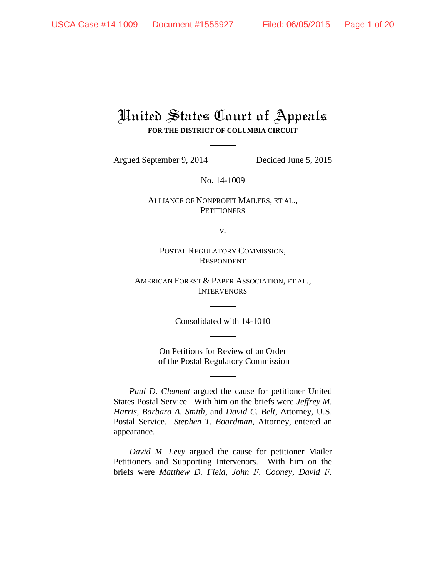# United States Court of Appeals **FOR THE DISTRICT OF COLUMBIA CIRCUIT**

Argued September 9, 2014 Decided June 5, 2015

No. 14-1009

ALLIANCE OF NONPROFIT MAILERS, ET AL., **PETITIONERS** 

v.

POSTAL REGULATORY COMMISSION, RESPONDENT

AMERICAN FOREST & PAPER ASSOCIATION, ET AL., **INTERVENORS** 

Consolidated with 14-1010

On Petitions for Review of an Order of the Postal Regulatory Commission

*Paul D. Clement* argued the cause for petitioner United States Postal Service. With him on the briefs were *Jeffrey M. Harris*, *Barbara A. Smith*, and *David C. Belt*, Attorney, U.S. Postal Service. *Stephen T. Boardman*, Attorney, entered an appearance.

*David M. Levy* argued the cause for petitioner Mailer Petitioners and Supporting Intervenors. With him on the briefs were *Matthew D. Field*, *John F. Cooney*, *David F.*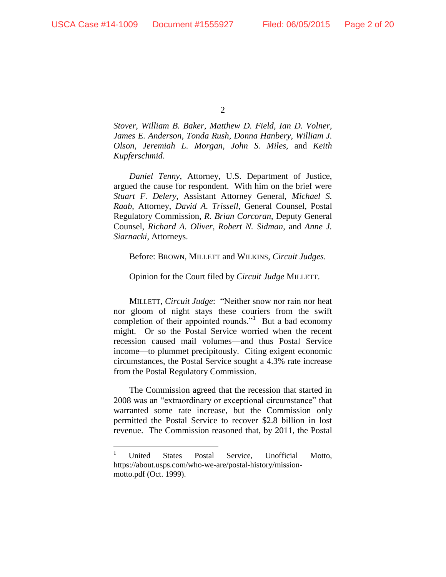$\overline{a}$ 

 $\mathcal{L}$ 

*Stover*, *William B. Baker*, *Matthew D. Field*, *Ian D. Volner*, *James E. Anderson*, *Tonda Rush*, *Donna Hanbery*, *William J. Olson*, *Jeremiah L. Morgan*, *John S. Miles*, and *Keith Kupferschmid*.

*Daniel Tenny*, Attorney, U.S. Department of Justice, argued the cause for respondent. With him on the brief were *Stuart F. Delery*, Assistant Attorney General, *Michael S. Raab*, Attorney, *David A. Trissell*, General Counsel, Postal Regulatory Commission, *R. Brian Corcoran*, Deputy General Counsel, *Richard A. Oliver*, *Robert N. Sidman*, and *Anne J. Siarnacki*, Attorneys.

#### Before: BROWN, MILLETT and WILKINS, *Circuit Judges*.

#### Opinion for the Court filed by *Circuit Judge* MILLETT.

MILLETT, *Circuit Judge*: "Neither snow nor rain nor heat nor gloom of night stays these couriers from the swift completion of their appointed rounds."<sup>1</sup> But a bad economy might. Or so the Postal Service worried when the recent recession caused mail volumes—and thus Postal Service income—to plummet precipitously. Citing exigent economic circumstances, the Postal Service sought a 4.3% rate increase from the Postal Regulatory Commission.

The Commission agreed that the recession that started in 2008 was an "extraordinary or exceptional circumstance" that warranted some rate increase, but the Commission only permitted the Postal Service to recover \$2.8 billion in lost revenue. The Commission reasoned that, by 2011, the Postal

<sup>1</sup> United States Postal Service, Unofficial Motto, https://about.usps.com/who-we-are/postal-history/missionmotto.pdf (Oct. 1999).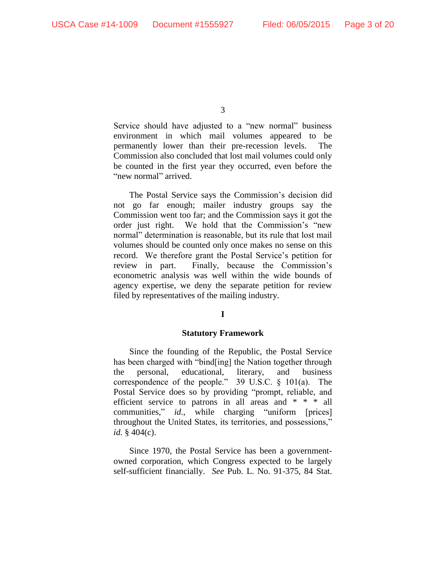Service should have adjusted to a "new normal" business environment in which mail volumes appeared to be permanently lower than their pre-recession levels. The Commission also concluded that lost mail volumes could only be counted in the first year they occurred, even before the "new normal" arrived.

The Postal Service says the Commission's decision did not go far enough; mailer industry groups say the Commission went too far; and the Commission says it got the order just right. We hold that the Commission's "new normal" determination is reasonable, but its rule that lost mail volumes should be counted only once makes no sense on this record. We therefore grant the Postal Service's petition for review in part. Finally, because the Commission's econometric analysis was well within the wide bounds of agency expertise, we deny the separate petition for review filed by representatives of the mailing industry.

## **I**

#### **Statutory Framework**

Since the founding of the Republic, the Postal Service has been charged with "bind[ing] the Nation together through the personal, educational, literary, and business correspondence of the people." 39 U.S.C. § 101(a). The Postal Service does so by providing "prompt, reliable, and efficient service to patrons in all areas and \* \* \* all communities," *id.*, while charging "uniform [prices] throughout the United States, its territories, and possessions," *id.* § 404(c).

Since 1970, the Postal Service has been a governmentowned corporation, which Congress expected to be largely self-sufficient financially. *See* Pub. L. No. 91-375, 84 Stat.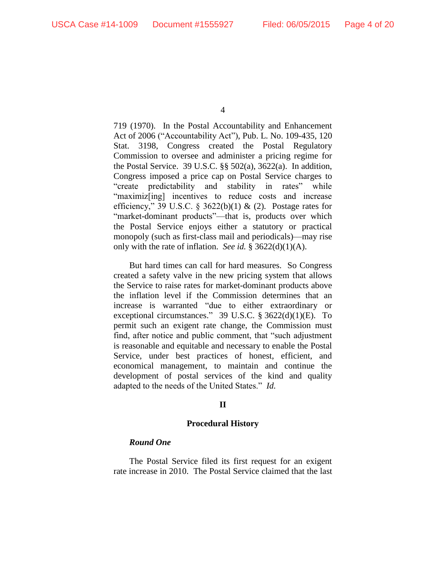719 (1970). In the Postal Accountability and Enhancement Act of 2006 ("Accountability Act"), Pub. L. No. 109-435, 120 Stat. 3198, Congress created the Postal Regulatory Commission to oversee and administer a pricing regime for the Postal Service. 39 U.S.C. §§ 502(a), 3622(a). In addition, Congress imposed a price cap on Postal Service charges to "create predictability and stability in rates" while "maximiz[ing] incentives to reduce costs and increase efficiency," 39 U.S.C. § 3622(b)(1) & (2). Postage rates for "market-dominant products"—that is, products over which the Postal Service enjoys either a statutory or practical monopoly (such as first-class mail and periodicals)—may rise only with the rate of inflation. *See id.* § 3622(d)(1)(A).

But hard times can call for hard measures. So Congress created a safety valve in the new pricing system that allows the Service to raise rates for market-dominant products above the inflation level if the Commission determines that an increase is warranted "due to either extraordinary or exceptional circumstances." 39 U.S.C. § 3622(d)(1)(E). To permit such an exigent rate change, the Commission must find, after notice and public comment, that "such adjustment is reasonable and equitable and necessary to enable the Postal Service, under best practices of honest, efficient, and economical management, to maintain and continue the development of postal services of the kind and quality adapted to the needs of the United States." *Id.*

## **II**

#### **Procedural History**

## *Round One*

The Postal Service filed its first request for an exigent rate increase in 2010. The Postal Service claimed that the last

<sup>4</sup>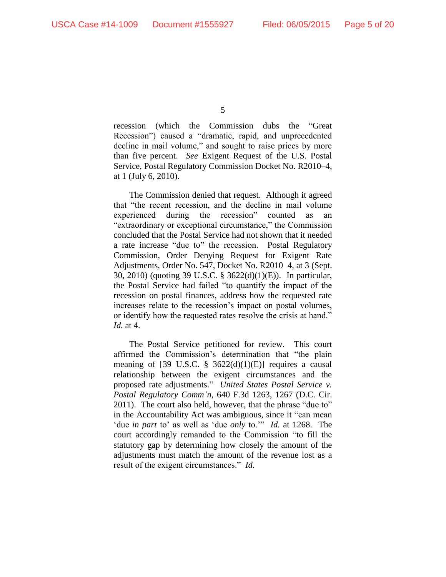recession (which the Commission dubs the "Great Recession") caused a "dramatic, rapid, and unprecedented decline in mail volume," and sought to raise prices by more than five percent. *See* Exigent Request of the U.S. Postal Service, Postal Regulatory Commission Docket No. R2010–4, at 1 (July 6, 2010).

The Commission denied that request. Although it agreed that "the recent recession, and the decline in mail volume experienced during the recession" counted as an "extraordinary or exceptional circumstance," the Commission concluded that the Postal Service had not shown that it needed a rate increase "due to" the recession. Postal Regulatory Commission, Order Denying Request for Exigent Rate Adjustments, Order No. 547, Docket No. R2010–4, at 3 (Sept. 30, 2010) (quoting 39 U.S.C. § 3622(d)(1)(E)). In particular, the Postal Service had failed "to quantify the impact of the recession on postal finances, address how the requested rate increases relate to the recession's impact on postal volumes, or identify how the requested rates resolve the crisis at hand." *Id.* at 4.

The Postal Service petitioned for review. This court affirmed the Commission's determination that "the plain meaning of [39 U.S.C.  $\S$  3622(d)(1)(E)] requires a causal relationship between the exigent circumstances and the proposed rate adjustments." *United States Postal Service v. Postal Regulatory Comm'n*, 640 F.3d 1263, 1267 (D.C. Cir. 2011). The court also held, however, that the phrase "due to" in the Accountability Act was ambiguous, since it "can mean 'due *in part* to' as well as 'due *only* to.'" *Id.* at 1268. The court accordingly remanded to the Commission "to fill the statutory gap by determining how closely the amount of the adjustments must match the amount of the revenue lost as a result of the exigent circumstances." *Id.*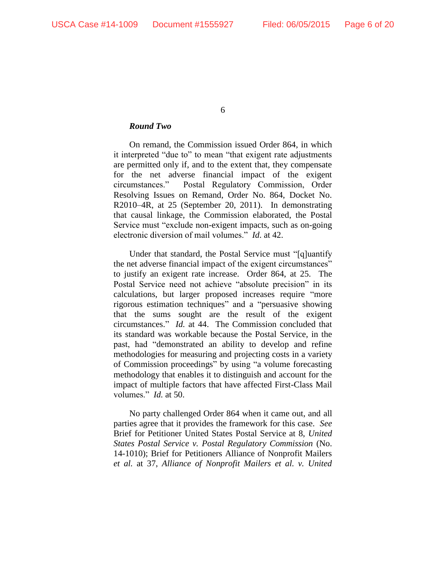## *Round Two*

On remand, the Commission issued Order 864, in which it interpreted "due to" to mean "that exigent rate adjustments are permitted only if, and to the extent that, they compensate for the net adverse financial impact of the exigent circumstances." Postal Regulatory Commission, Order Resolving Issues on Remand, Order No. 864, Docket No. R2010–4R, at 25 (September 20, 2011). In demonstrating that causal linkage, the Commission elaborated, the Postal Service must "exclude non-exigent impacts, such as on-going electronic diversion of mail volumes." *Id*. at 42.

Under that standard, the Postal Service must "[q]uantify the net adverse financial impact of the exigent circumstances" to justify an exigent rate increase. Order 864, at 25. The Postal Service need not achieve "absolute precision" in its calculations, but larger proposed increases require "more rigorous estimation techniques" and a "persuasive showing that the sums sought are the result of the exigent circumstances." *Id.* at 44. The Commission concluded that its standard was workable because the Postal Service, in the past, had "demonstrated an ability to develop and refine methodologies for measuring and projecting costs in a variety of Commission proceedings" by using "a volume forecasting methodology that enables it to distinguish and account for the impact of multiple factors that have affected First-Class Mail volumes." *Id.* at 50.

No party challenged Order 864 when it came out, and all parties agree that it provides the framework for this case. *See*  Brief for Petitioner United States Postal Service at 8, *United States Postal Service v. Postal Regulatory Commission* (No. 14-1010); Brief for Petitioners Alliance of Nonprofit Mailers *et al.* at 37, *Alliance of Nonprofit Mailers et al. v. United*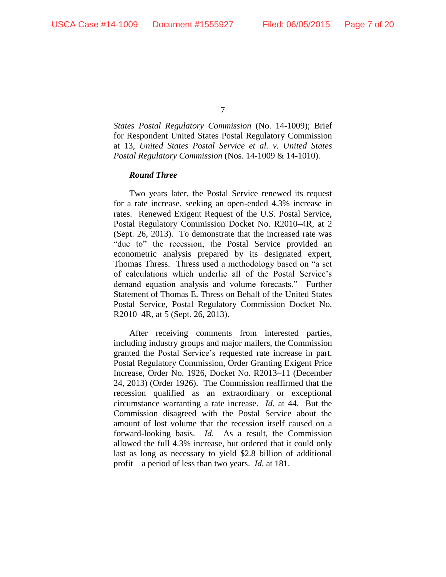*States Postal Regulatory Commission* (No. 14-1009); Brief for Respondent United States Postal Regulatory Commission at 13, *United States Postal Service et al. v. United States Postal Regulatory Commission* (Nos. 14-1009 & 14-1010).

## *Round Three*

Two years later, the Postal Service renewed its request for a rate increase, seeking an open-ended 4.3% increase in rates. Renewed Exigent Request of the U.S. Postal Service, Postal Regulatory Commission Docket No. R2010–4R, at 2 (Sept. 26, 2013). To demonstrate that the increased rate was "due to" the recession, the Postal Service provided an econometric analysis prepared by its designated expert, Thomas Thress. Thress used a methodology based on "a set of calculations which underlie all of the Postal Service's demand equation analysis and volume forecasts." Further Statement of Thomas E. Thress on Behalf of the United States Postal Service, Postal Regulatory Commission Docket No. R2010–4R, at 5 (Sept. 26, 2013).

After receiving comments from interested parties, including industry groups and major mailers, the Commission granted the Postal Service's requested rate increase in part. Postal Regulatory Commission, Order Granting Exigent Price Increase, Order No. 1926, Docket No. R2013–11 (December 24, 2013) (Order 1926). The Commission reaffirmed that the recession qualified as an extraordinary or exceptional circumstance warranting a rate increase. *Id.* at 44. But the Commission disagreed with the Postal Service about the amount of lost volume that the recession itself caused on a forward-looking basis. *Id.* As a result, the Commission allowed the full 4.3% increase, but ordered that it could only last as long as necessary to yield \$2.8 billion of additional profit—a period of less than two years. *Id.* at 181.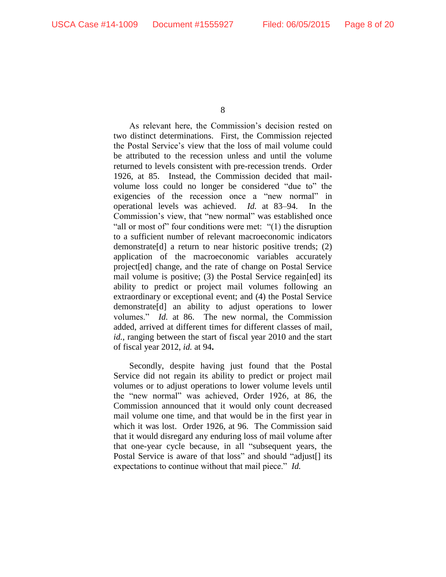As relevant here, the Commission's decision rested on two distinct determinations. First, the Commission rejected the Postal Service's view that the loss of mail volume could be attributed to the recession unless and until the volume returned to levels consistent with pre-recession trends. Order 1926, at 85.Instead, the Commission decided that mailvolume loss could no longer be considered "due to" the exigencies of the recession once a "new normal" in operational levels was achieved. *Id.* at 83–94. In the Commission's view, that "new normal" was established once "all or most of" four conditions were met: "(1) the disruption to a sufficient number of relevant macroeconomic indicators demonstrate[d] a return to near historic positive trends; (2) application of the macroeconomic variables accurately project[ed] change, and the rate of change on Postal Service mail volume is positive; (3) the Postal Service regain[ed] its ability to predict or project mail volumes following an extraordinary or exceptional event; and (4) the Postal Service demonstrate[d] an ability to adjust operations to lower volumes." *Id.* at 86. The new normal, the Commission added, arrived at different times for different classes of mail, *id.*, ranging between the start of fiscal year 2010 and the start of fiscal year 2012, *id.* at 94**.**

Secondly, despite having just found that the Postal Service did not regain its ability to predict or project mail volumes or to adjust operations to lower volume levels until the "new normal" was achieved, Order 1926, at 86, the Commission announced that it would only count decreased mail volume one time, and that would be in the first year in which it was lost. Order 1926, at 96. The Commission said that it would disregard any enduring loss of mail volume after that one-year cycle because, in all "subsequent years, the Postal Service is aware of that loss" and should "adjust[] its expectations to continue without that mail piece." *Id.*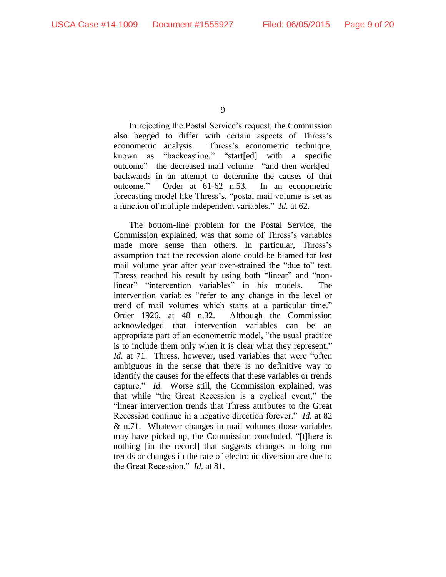In rejecting the Postal Service's request, the Commission also begged to differ with certain aspects of Thress's econometric analysis. Thress's econometric technique, known as "backcasting," "start[ed] with a specific outcome"—the decreased mail volume—"and then work[ed] backwards in an attempt to determine the causes of that outcome." Order at 61-62 n.53. In an econometric forecasting model like Thress's, "postal mail volume is set as a function of multiple independent variables." *Id.* at 62.

The bottom-line problem for the Postal Service, the Commission explained, was that some of Thress's variables made more sense than others. In particular, Thress's assumption that the recession alone could be blamed for lost mail volume year after year over-strained the "due to" test. Thress reached his result by using both "linear" and "nonlinear" "intervention variables" in his models. The intervention variables "refer to any change in the level or trend of mail volumes which starts at a particular time." Order 1926, at 48 n.32. Although the Commission acknowledged that intervention variables can be an appropriate part of an econometric model, "the usual practice is to include them only when it is clear what they represent." *Id.* at 71. Thress, however, used variables that were "often ambiguous in the sense that there is no definitive way to identify the causes for the effects that these variables or trends capture." *Id.* Worse still, the Commission explained, was that while "the Great Recession is a cyclical event," the "linear intervention trends that Thress attributes to the Great Recession continue in a negative direction forever." *Id.* at 82 & n.71. Whatever changes in mail volumes those variables may have picked up, the Commission concluded, "[t]here is nothing [in the record] that suggests changes in long run trends or changes in the rate of electronic diversion are due to the Great Recession." *Id.* at 81.

<sup>9</sup>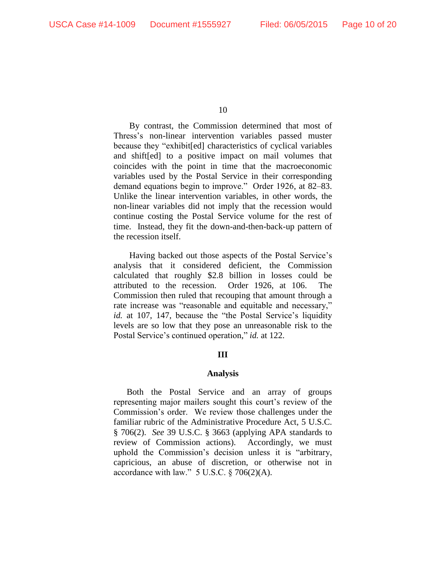By contrast, the Commission determined that most of Thress's non-linear intervention variables passed muster because they "exhibit[ed] characteristics of cyclical variables and shift[ed] to a positive impact on mail volumes that coincides with the point in time that the macroeconomic variables used by the Postal Service in their corresponding demand equations begin to improve." Order 1926, at 82–83. Unlike the linear intervention variables, in other words, the non-linear variables did not imply that the recession would continue costing the Postal Service volume for the rest of time. Instead, they fit the down-and-then-back-up pattern of the recession itself.

Having backed out those aspects of the Postal Service's analysis that it considered deficient, the Commission calculated that roughly \$2.8 billion in losses could be attributed to the recession. Order 1926, at 106. The Commission then ruled that recouping that amount through a rate increase was "reasonable and equitable and necessary," *id.* at 107, 147, because the "the Postal Service's liquidity levels are so low that they pose an unreasonable risk to the Postal Service's continued operation," *id.* at 122.

## **III**

#### **Analysis**

Both the Postal Service and an array of groups representing major mailers sought this court's review of the Commission's order. We review those challenges under the familiar rubric of the Administrative Procedure Act, 5 U.S.C. § 706(2). *See* 39 U.S.C. § 3663 (applying APA standards to review of Commission actions). Accordingly, we must uphold the Commission's decision unless it is "arbitrary, capricious, an abuse of discretion, or otherwise not in accordance with law."  $5$  U.S.C.  $\S$  706(2)(A).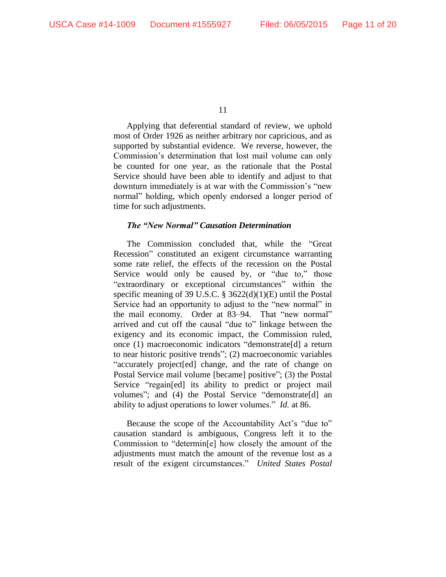Applying that deferential standard of review, we uphold most of Order 1926 as neither arbitrary nor capricious, and as supported by substantial evidence. We reverse, however, the Commission's determination that lost mail volume can only be counted for one year, as the rationale that the Postal Service should have been able to identify and adjust to that downturn immediately is at war with the Commission's "new normal" holding, which openly endorsed a longer period of time for such adjustments.

## *The "New Normal" Causation Determination*

The Commission concluded that, while the "Great Recession" constituted an exigent circumstance warranting some rate relief, the effects of the recession on the Postal Service would only be caused by, or "due to," those "extraordinary or exceptional circumstances" within the specific meaning of 39 U.S.C. § 3622(d)(1)(E) until the Postal Service had an opportunity to adjust to the "new normal" in the mail economy. Order at 83–94. That "new normal" arrived and cut off the causal "due to" linkage between the exigency and its economic impact, the Commission ruled, once (1) macroeconomic indicators "demonstrate[d] a return to near historic positive trends"; (2) macroeconomic variables "accurately project[ed] change, and the rate of change on Postal Service mail volume [became] positive"; (3) the Postal Service "regain[ed] its ability to predict or project mail volumes"; and (4) the Postal Service "demonstrate[d] an ability to adjust operations to lower volumes." *Id.* at 86.

Because the scope of the Accountability Act's "due to" causation standard is ambiguous, Congress left it to the Commission to "determin[e] how closely the amount of the adjustments must match the amount of the revenue lost as a result of the exigent circumstances." *United States Postal*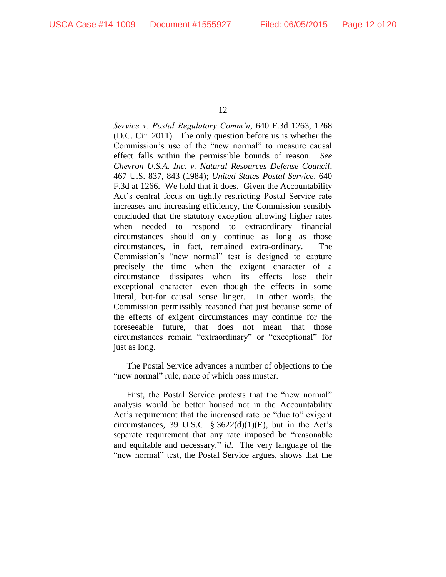*Service v. Postal Regulatory Comm'n*, 640 F.3d 1263, 1268 (D.C. Cir. 2011). The only question before us is whether the Commission's use of the "new normal" to measure causal effect falls within the permissible bounds of reason. *See Chevron U.S.A. Inc. v. Natural Resources Defense Council*, 467 U.S. 837, 843 (1984); *United States Postal Service*, 640 F.3d at 1266. We hold that it does. Given the Accountability Act's central focus on tightly restricting Postal Service rate increases and increasing efficiency, the Commission sensibly concluded that the statutory exception allowing higher rates when needed to respond to extraordinary financial circumstances should only continue as long as those circumstances, in fact, remained extra-ordinary. The Commission's "new normal" test is designed to capture precisely the time when the exigent character of a circumstance dissipates—when its effects lose their exceptional character—even though the effects in some literal, but-for causal sense linger. In other words, the Commission permissibly reasoned that just because some of the effects of exigent circumstances may continue for the foreseeable future, that does not mean that those circumstances remain "extraordinary" or "exceptional" for just as long.

The Postal Service advances a number of objections to the "new normal" rule, none of which pass muster.

First, the Postal Service protests that the "new normal" analysis would be better housed not in the Accountability Act's requirement that the increased rate be "due to" exigent circumstances, 39 U.S.C.  $\S 3622(d)(1)(E)$ , but in the Act's separate requirement that any rate imposed be "reasonable and equitable and necessary," *id*. The very language of the "new normal" test, the Postal Service argues, shows that the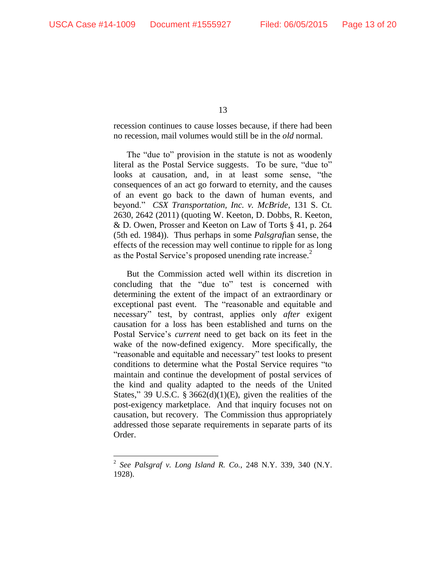$\overline{a}$ 

13

recession continues to cause losses because, if there had been no recession, mail volumes would still be in the *old* normal.

The "due to" provision in the statute is not as woodenly literal as the Postal Service suggests. To be sure, "due to" looks at causation, and, in at least some sense, "the consequences of an act go forward to eternity, and the causes of an event go back to the dawn of human events, and beyond." *CSX Transportation, Inc. v. McBride*, 131 S. Ct. 2630, 2642 (2011) (quoting W. Keeton, D. Dobbs, R. Keeton, & D. Owen, Prosser and Keeton on Law of Torts § 41, p. 264 (5th ed. 1984)). Thus perhaps in some *Palsgraf*ian sense, the effects of the recession may well continue to ripple for as long as the Postal Service's proposed unending rate increase.<sup>2</sup>

But the Commission acted well within its discretion in concluding that the "due to" test is concerned with determining the extent of the impact of an extraordinary or exceptional past event. The "reasonable and equitable and necessary" test, by contrast, applies only *after* exigent causation for a loss has been established and turns on the Postal Service's *current* need to get back on its feet in the wake of the now-defined exigency. More specifically, the "reasonable and equitable and necessary" test looks to present conditions to determine what the Postal Service requires "to maintain and continue the development of postal services of the kind and quality adapted to the needs of the United States," 39 U.S.C. § 3662(d)(1)(E), given the realities of the post-exigency marketplace. And that inquiry focuses not on causation, but recovery. The Commission thus appropriately addressed those separate requirements in separate parts of its Order.

<sup>2</sup> *See Palsgraf v. Long Island R. Co.*, 248 N.Y. 339, 340 (N.Y. 1928).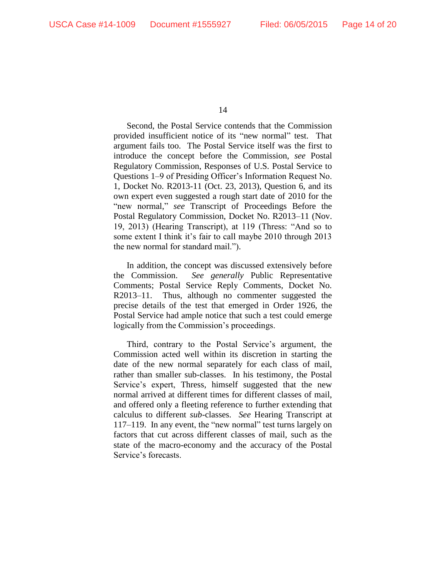Second, the Postal Service contends that the Commission provided insufficient notice of its "new normal" test. That argument fails too. The Postal Service itself was the first to introduce the concept before the Commission, *see* Postal Regulatory Commission, Responses of U.S. Postal Service to Questions 1–9 of Presiding Officer's Information Request No. 1, Docket No. R2013-11 (Oct. 23, 2013), Question 6, and its own expert even suggested a rough start date of 2010 for the "new normal," *see* Transcript of Proceedings Before the Postal Regulatory Commission, Docket No. R2013–11 (Nov. 19, 2013) (Hearing Transcript), at 119 (Thress: "And so to some extent I think it's fair to call maybe 2010 through 2013 the new normal for standard mail.").

In addition, the concept was discussed extensively before the Commission. *See generally* Public Representative Comments; Postal Service Reply Comments, Docket No. R2013–11. Thus, although no commenter suggested the precise details of the test that emerged in Order 1926, the Postal Service had ample notice that such a test could emerge logically from the Commission's proceedings.

Third, contrary to the Postal Service's argument, the Commission acted well within its discretion in starting the date of the new normal separately for each class of mail, rather than smaller sub-classes. In his testimony, the Postal Service's expert, Thress, himself suggested that the new normal arrived at different times for different classes of mail, and offered only a fleeting reference to further extending that calculus to different *sub*-classes. *See* Hearing Transcript at 117–119. In any event, the "new normal" test turns largely on factors that cut across different classes of mail, such as the state of the macro-economy and the accuracy of the Postal Service's forecasts.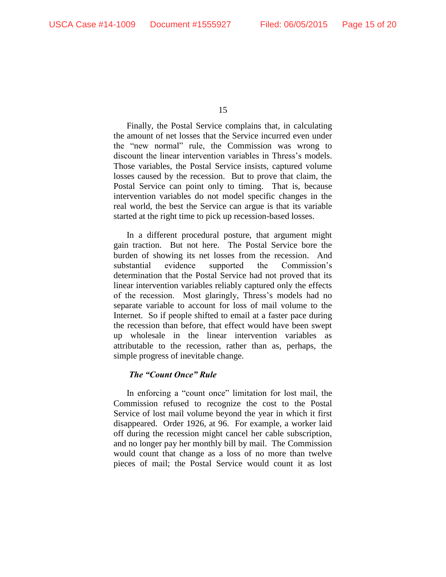Finally, the Postal Service complains that, in calculating the amount of net losses that the Service incurred even under the "new normal" rule, the Commission was wrong to discount the linear intervention variables in Thress's models. Those variables, the Postal Service insists, captured volume losses caused by the recession. But to prove that claim, the Postal Service can point only to timing. That is, because intervention variables do not model specific changes in the real world, the best the Service can argue is that its variable started at the right time to pick up recession-based losses.

In a different procedural posture, that argument might gain traction. But not here. The Postal Service bore the burden of showing its net losses from the recession. And substantial evidence supported the Commission's determination that the Postal Service had not proved that its linear intervention variables reliably captured only the effects of the recession. Most glaringly, Thress's models had no separate variable to account for loss of mail volume to the Internet. So if people shifted to email at a faster pace during the recession than before, that effect would have been swept up wholesale in the linear intervention variables as attributable to the recession, rather than as, perhaps, the simple progress of inevitable change.

## *The "Count Once" Rule*

In enforcing a "count once" limitation for lost mail, the Commission refused to recognize the cost to the Postal Service of lost mail volume beyond the year in which it first disappeared. Order 1926, at 96.For example, a worker laid off during the recession might cancel her cable subscription, and no longer pay her monthly bill by mail. The Commission would count that change as a loss of no more than twelve pieces of mail; the Postal Service would count it as lost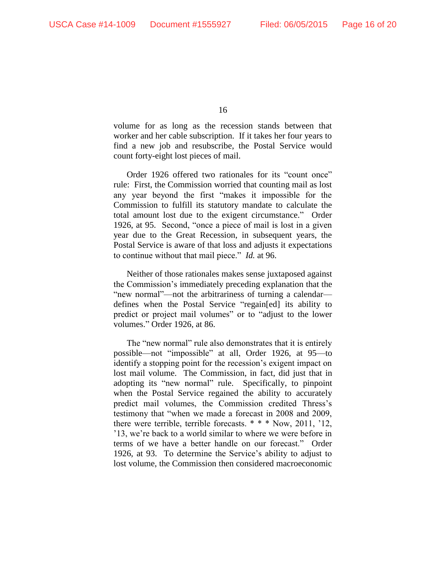volume for as long as the recession stands between that worker and her cable subscription. If it takes her four years to find a new job and resubscribe, the Postal Service would count forty-eight lost pieces of mail.

Order 1926 offered two rationales for its "count once" rule: First, the Commission worried that counting mail as lost any year beyond the first "makes it impossible for the Commission to fulfill its statutory mandate to calculate the total amount lost due to the exigent circumstance." Order 1926, at 95.Second, "once a piece of mail is lost in a given year due to the Great Recession, in subsequent years, the Postal Service is aware of that loss and adjusts it expectations to continue without that mail piece." *Id.* at 96.

Neither of those rationales makes sense juxtaposed against the Commission's immediately preceding explanation that the "new normal"—not the arbitrariness of turning a calendar defines when the Postal Service "regain[ed] its ability to predict or project mail volumes" or to "adjust to the lower volumes." Order 1926, at 86.

The "new normal" rule also demonstrates that it is entirely possible—not "impossible" at all, Order 1926, at 95—to identify a stopping point for the recession's exigent impact on lost mail volume. The Commission, in fact, did just that in adopting its "new normal" rule. Specifically, to pinpoint when the Postal Service regained the ability to accurately predict mail volumes, the Commission credited Thress's testimony that "when we made a forecast in 2008 and 2009, there were terrible, terrible forecasts. \* \* \* Now, 2011, '12, '13, we're back to a world similar to where we were before in terms of we have a better handle on our forecast." Order 1926, at 93. To determine the Service's ability to adjust to lost volume, the Commission then considered macroeconomic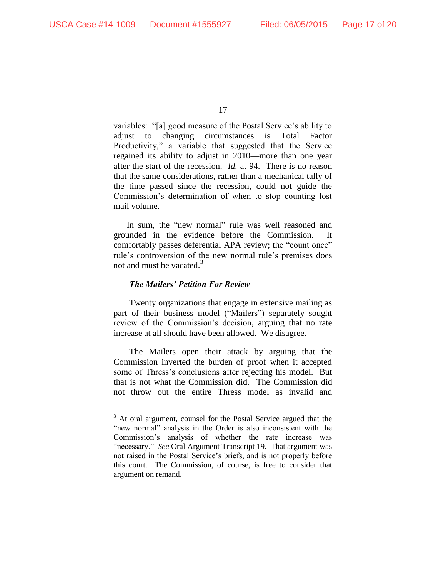$\overline{a}$ 

17

variables: "[a] good measure of the Postal Service's ability to adjust to changing circumstances is Total Factor Productivity," a variable that suggested that the Service regained its ability to adjust in 2010—more than one year after the start of the recession. *Id.* at 94. There is no reason that the same considerations, rather than a mechanical tally of the time passed since the recession, could not guide the Commission's determination of when to stop counting lost mail volume.

In sum, the "new normal" rule was well reasoned and grounded in the evidence before the Commission. It comfortably passes deferential APA review; the "count once" rule's controversion of the new normal rule's premises does not and must be vacated.<sup>3</sup>

## *The Mailers' Petition For Review*

Twenty organizations that engage in extensive mailing as part of their business model ("Mailers") separately sought review of the Commission's decision, arguing that no rate increase at all should have been allowed. We disagree.

The Mailers open their attack by arguing that the Commission inverted the burden of proof when it accepted some of Thress's conclusions after rejecting his model. But that is not what the Commission did. The Commission did not throw out the entire Thress model as invalid and

 $3<sup>3</sup>$  At oral argument, counsel for the Postal Service argued that the "new normal" analysis in the Order is also inconsistent with the Commission's analysis of whether the rate increase was "necessary." *See* Oral Argument Transcript 19. That argument was not raised in the Postal Service's briefs, and is not properly before this court. The Commission, of course, is free to consider that argument on remand.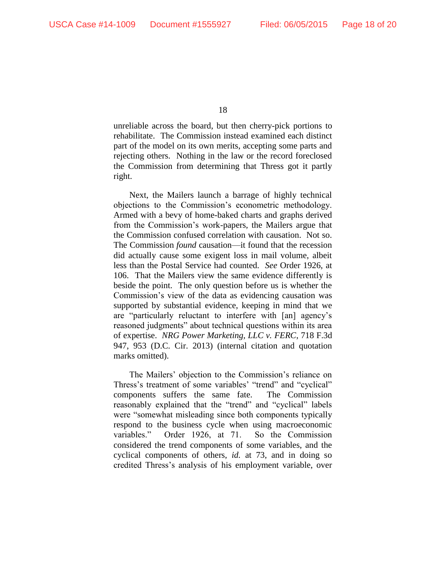unreliable across the board, but then cherry-pick portions to rehabilitate. The Commission instead examined each distinct part of the model on its own merits, accepting some parts and rejecting others. Nothing in the law or the record foreclosed the Commission from determining that Thress got it partly right.

Next, the Mailers launch a barrage of highly technical objections to the Commission's econometric methodology. Armed with a bevy of home-baked charts and graphs derived from the Commission's work-papers, the Mailers argue that the Commission confused correlation with causation. Not so. The Commission *found* causation—it found that the recession did actually cause some exigent loss in mail volume, albeit less than the Postal Service had counted. *See* Order 1926, at 106. That the Mailers view the same evidence differently is beside the point. The only question before us is whether the Commission's view of the data as evidencing causation was supported by substantial evidence, keeping in mind that we are "particularly reluctant to interfere with [an] agency's reasoned judgments" about technical questions within its area of expertise. *NRG Power Marketing, LLC v. FERC*, 718 F.3d 947, 953 (D.C. Cir. 2013) (internal citation and quotation marks omitted).

The Mailers' objection to the Commission's reliance on Thress's treatment of some variables' "trend" and "cyclical" components suffers the same fate. The Commission reasonably explained that the "trend" and "cyclical" labels were "somewhat misleading since both components typically respond to the business cycle when using macroeconomic variables." Order 1926, at 71. So the Commission considered the trend components of some variables, and the cyclical components of others, *id.* at 73, and in doing so credited Thress's analysis of his employment variable, over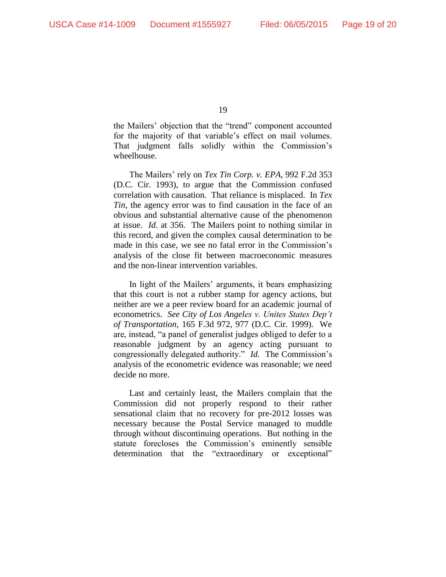the Mailers' objection that the "trend" component accounted for the majority of that variable's effect on mail volumes. That judgment falls solidly within the Commission's wheelhouse.

The Mailers' rely on *Tex Tin Corp. v. EPA*, 992 F.2d 353 (D.C. Cir. 1993), to argue that the Commission confused correlation with causation. That reliance is misplaced. In *Tex Tin*, the agency error was to find causation in the face of an obvious and substantial alternative cause of the phenomenon at issue. *Id*. at 356. The Mailers point to nothing similar in this record, and given the complex causal determination to be made in this case, we see no fatal error in the Commission's analysis of the close fit between macroeconomic measures and the non-linear intervention variables.

In light of the Mailers' arguments, it bears emphasizing that this court is not a rubber stamp for agency actions, but neither are we a peer review board for an academic journal of econometrics. *See City of Los Angeles v. Unites States Dep't of Transportation*, 165 F.3d 972, 977 (D.C. Cir. 1999). We are, instead, "a panel of generalist judges obliged to defer to a reasonable judgment by an agency acting pursuant to congressionally delegated authority." *Id.* The Commission's analysis of the econometric evidence was reasonable; we need decide no more.

Last and certainly least, the Mailers complain that the Commission did not properly respond to their rather sensational claim that no recovery for pre-2012 losses was necessary because the Postal Service managed to muddle through without discontinuing operations. But nothing in the statute forecloses the Commission's eminently sensible determination that the "extraordinary or exceptional"